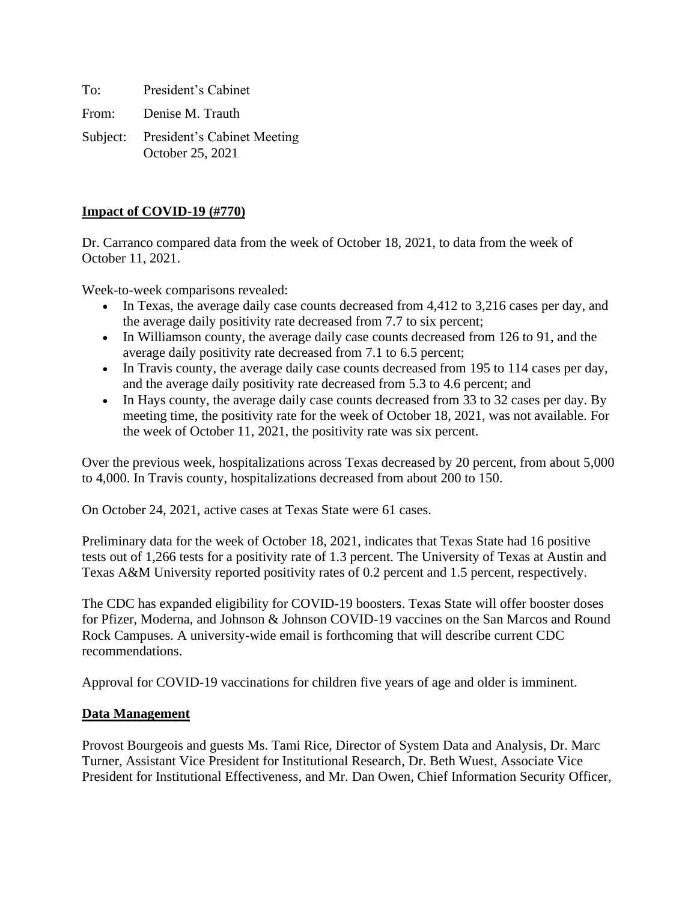To: President's Cabinet From: Denise M. Trauth

Subject: President's Cabinet Meeting October 25, 2021

## **Impact of COVID-19 (#770)**

Dr. Carranco compared data from the week of October 18, 2021, to data from the week of October 11, 2021.

Week-to-week comparisons revealed:

- In Texas, the average daily case counts decreased from 4,412 to 3,216 cases per day, and the average daily positivity rate decreased from 7.7 to six percent;
- In Williamson county, the average daily case counts decreased from 126 to 91, and the average daily positivity rate decreased from 7.1 to 6.5 percent;
- In Travis county, the average daily case counts decreased from 195 to 114 cases per day, and the average daily positivity rate decreased from 5.3 to 4.6 percent; and
- In Hays county, the average daily case counts decreased from 33 to 32 cases per day. By meeting time, the positivity rate for the week of October 18, 2021, was not available. For the week of October 11, 2021, the positivity rate was six percent.

Over the previous week, hospitalizations across Texas decreased by 20 percent, from about 5,000 to 4,000. In Travis county, hospitalizations decreased from about 200 to 150.

On October 24, 2021, active cases at Texas State were 61 cases.

Preliminary data for the week of October 18, 2021, indicates that Texas State had 16 positive tests out of 1,266 tests for a positivity rate of 1.3 percent. The University of Texas at Austin and Texas A&M University reported positivity rates of 0.2 percent and 1.5 percent, respectively.

The CDC has expanded eligibility for COVID-19 boosters. Texas State will offer booster doses for Pfizer, Moderna, and Johnson & Johnson COVID-19 vaccines on the San Marcos and Round Rock Campuses. A university-wide email is forthcoming that will describe current CDC recommendations.

Approval for COVID-19 vaccinations for children five years of age and older is imminent.

### **Data Management**

Provost Bourgeois and guests Ms. Tami Rice, Director of System Data and Analysis, Dr. Marc Turner, Assistant Vice President for Institutional Research, Dr. Beth Wuest, Associate Vice President for Institutional Effectiveness, and Mr. Dan Owen, Chief Information Security Officer,